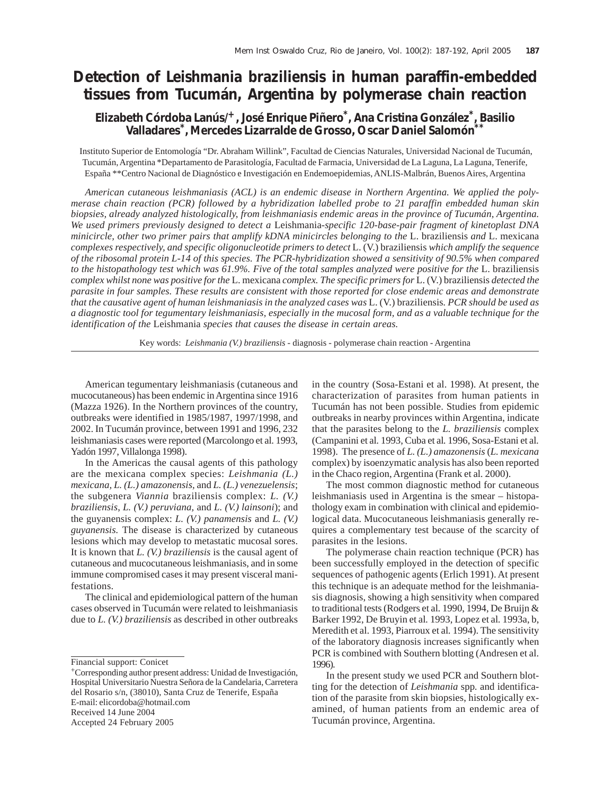# **Detection of** *Leishmania braziliensis* **in human paraffin-embedded tissues from Tucumán, Argentina by polymerase chain reaction**

# **Elizabeth Córdoba Lanús/+, José Enrique Piñero\*, Ana Cristina González\*, Basilio Valladares\*, Mercedes Lizarralde de Grosso, Oscar Daniel Salomón\*\***

 Instituto Superior de Entomología "Dr. Abraham Willink", Facultad de Ciencias Naturales, Universidad Nacional de Tucumán, Tucumán, Argentina \*Departamento de Parasitología, Facultad de Farmacia, Universidad de La Laguna, La Laguna, Tenerife, España \*\*Centro Nacional de Diagnóstico e Investigación en Endemoepidemias, ANLIS-Malbrán, Buenos Aires, Argentina

*American cutaneous leishmaniasis (ACL) is an endemic disease in Northern Argentina. We applied the polymerase chain reaction (PCR) followed by a hybridization labelled probe to 21 paraffin embedded human skin biopsies, already analyzed histologically, from leishmaniasis endemic areas in the province of Tucumán, Argentina. We used primers previously designed to detect a* Leishmania*-specific 120-base-pair fragment of kinetoplast DNA minicircle, other two primer pairs that amplify kDNA minicircles belonging to the* L. braziliensis *and* L. mexicana *complexes respectively, and specific oligonucleotide primers to detect* L. (V.) braziliensis *which amplify the sequence of the ribosomal protein L-14 of this species. The PCR-hybridization showed a sensitivity of 90.5% when compared to the histopathology test which was 61.9%. Five of the total samples analyzed were positive for the L. braziliensis complex whilst none was positive for the* L. mexicana *complex. The specific primers for* L. (V.) braziliensis *detected the parasite in four samples. These results are consistent with those reported for close endemic areas and demonstrate that the causative agent of human leishmaniasis in the analyzed cases was* L. (V.) braziliensis*. PCR should be used as a diagnostic tool for tegumentary leishmaniasis, especially in the mucosal form, and as a valuable technique for the identification of the* Leishmania *species that causes the disease in certain areas.*

Key words: *Leishmania (V.) braziliensis -* diagnosis - polymerase chain reaction - Argentina

American tegumentary leishmaniasis (cutaneous and mucocutaneous) has been endemic in Argentina since 1916 (Mazza 1926). In the Northern provinces of the country, outbreaks were identified in 1985/1987, 1997/1998, and 2002. In Tucumán province, between 1991 and 1996, 232 leishmaniasis cases were reported (Marcolongo et al*.* 1993, Yadón 1997, Villalonga 1998).

In the Americas the causal agents of this pathology are the mexicana complex species: *Leishmania (L.) mexicana, L. (L.) amazonensis,* and *L. (L.) venezuelensis*; the subgenera *Viannia* braziliensis complex: *L. (V.) braziliensis*, *L. (V.) peruviana,* and *L. (V.) lainsoni*); and the guyanensis complex: *L. (V.) panamensis* and *L. (V.) guyanensis.* The disease is characterized by cutaneous lesions which may develop to metastatic mucosal sores. It is known that *L. (V.) braziliensis* is the causal agent of cutaneous and mucocutaneous leishmaniasis, and in some immune compromised cases it may present visceral manifestations.

The clinical and epidemiological pattern of the human cases observed in Tucumán were related to leishmaniasis due to *L. (V.) braziliensis* as described in other outbreaks

Financial support: Conicet

Accepted 24 February 2005

in the country (Sosa-Estani et al. 1998). At present, the characterization of parasites from human patients in Tucumán has not been possible. Studies from epidemic outbreaks in nearby provinces within Argentina, indicate that the parasites belong to the *L. braziliensis* complex (Campanini et al*.* 1993, Cuba et al*.* 1996, Sosa-Estani et al*.* 1998). The presence of *L. (L.) amazonensis* (*L. mexicana* complex) by isoenzymatic analysis has also been reported in the Chaco region, Argentina (Frank et al*.* 2000).

The most common diagnostic method for cutaneous leishmaniasis used in Argentina is the smear – histopathology exam in combination with clinical and epidemiological data. Mucocutaneous leishmaniasis generally requires a complementary test because of the scarcity of parasites in the lesions.

The polymerase chain reaction technique (PCR) has been successfully employed in the detection of specific sequences of pathogenic agents (Erlich 1991). At present this technique is an adequate method for the leishmaniasis diagnosis, showing a high sensitivity when compared to traditional tests (Rodgers et al*.* 1990, 1994, De Bruijn & Barker 1992, De Bruyin et al*.* 1993, Lopez et al*.* 1993a, b, Meredith et al. 1993, Piarroux et al*.* 1994). The sensitivity of the laboratory diagnosis increases significantly when PCR is combined with Southern blotting (Andresen et al. 1996).

In the present study we used PCR and Southern blotting for the detection of *Leishmania* spp*.* and identification of the parasite from skin biopsies, histologically examined, of human patients from an endemic area of Tucumán province, Argentina.

<sup>+</sup>Corresponding author present address: Unidad de Investigación, Hospital Universitario Nuestra Señora de la Candelaria, Carretera del Rosario s/n, (38010), Santa Cruz de Tenerife, España E-mail: elicordoba@hotmail.com Received 14 June 2004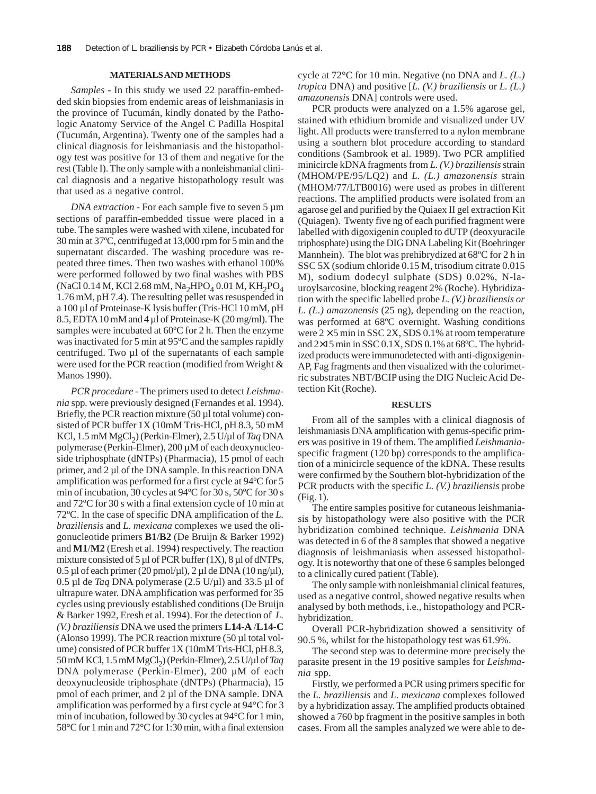## **MATERIALS AND METHODS**

*Samples* **-** In this study we used 22 paraffin-embedded skin biopsies from endemic areas of leishmaniasis in the province of Tucumán, kindly donated by the Pathologic Anatomy Service of the Angel C Padilla Hospital (Tucumán, Argentina). Twenty one of the samples had a clinical diagnosis for leishmaniasis and the histopathology test was positive for 13 of them and negative for the rest (Table I). The only sample with a nonleishmanial clinical diagnosis and a negative histopathology result was that used as a negative control.

*DNA extraction* - For each sample five to seven 5  $\mu$ m sections of paraffin-embedded tissue were placed in a tube. The samples were washed with xilene, incubated for 30 min at 37ºC, centrifuged at 13,000 rpm for 5 min and the supernatant discarded. The washing procedure was repeated three times. Then two washes with ethanol 100% were performed followed by two final washes with PBS (NaCl 0.14 M, KCl 2.68 mM, Na<sub>2</sub>HPO<sub>4</sub> 0.01 M, KH<sub>2</sub>PO<sub>4</sub> 1.76 mM, pH 7.4). The resulting pellet was resuspended in a 100 µl of Proteinase-K lysis buffer (Tris-HCl 10 mM, pH 8.5, EDTA 10 mM and 4 µl of Proteinase-K (20 mg/ml). The samples were incubated at 60ºC for 2 h. Then the enzyme was inactivated for 5 min at 95ºC and the samples rapidly centrifuged. Two  $\mu$ l of the supernatants of each sample were used for the PCR reaction (modified from Wright & Manos 1990).

*PCR procedure -* The primers used to detect *Leishmania* spp*.* were previously designed (Fernandes et al. 1994). Briefly, the PCR reaction mixture (50 µl total volume) consisted of PCR buffer 1X (10mM Tris-HCl, pH 8.3, 50 mM KCl, 1.5 mM MgCl2) (Perkin-Elmer), 2.5 U/µl of *Taq* DNA polymerase (Perkin-Elmer), 200 µM of each deoxynucleoside triphosphate (dNTPs) (Pharmacia), 15 pmol of each primer, and 2 µl of the DNA sample. In this reaction DNA amplification was performed for a first cycle at 94ºC for 5 min of incubation, 30 cycles at 94ºC for 30 s, 50ºC for 30 s and 72ºC for 30 s with a final extension cycle of 10 min at 72ºC. In the case of specific DNA amplification of the *L. braziliensis* and *L. mexicana* complexes we used the oligonucleotide primers **B1**/**B2** (De Bruijn & Barker 1992) and **M1**/**M2** (Eresh et al. 1994) respectively. The reaction mixture consisted of 5  $\mu$ l of PCR buffer (1X), 8  $\mu$ l of dNTPs,  $0.5 \mu$ l of each primer (20 pmol/ $\mu$ l), 2  $\mu$ l de DNA (10 ng/ $\mu$ l), 0.5 µl de *Taq* DNA polymerase (2.5 U/µl) and 33.5 µl of ultrapure water. DNA amplification was performed for 35 cycles using previously established conditions (De Bruijn & Barker 1992, Eresh et al. 1994). For the detection of *L. (V.) braziliensis* DNA we used the primers **L14-A** /**L14-C** (Alonso 1999). The PCR reaction mixture (50 µl total volume) consisted of PCR buffer 1X (10mM Tris-HCl, pH 8.3, 50 mM KCl, 1.5 mM MgCl2) (Perkin-Elmer), 2.5 U/µl of *Taq* DNA polymerase (Perkin-Elmer), 200 µM of each deoxynucleoside triphosphate (dNTPs) (Pharmacia), 15 pmol of each primer, and 2 µl of the DNA sample. DNA amplification was performed by a first cycle at 94°C for 3 min of incubation, followed by 30 cycles at 94°C for 1 min, 58°C for 1 min and 72°C for 1:30 min, with a final extension cycle at 72°C for 10 min. Negative (no DNA and *L. (L.) tropica* DNA) and positive [*L. (V.) braziliensis* or *L. (L.) amazonensis* DNA] controls were used.

PCR products were analyzed on a 1.5% agarose gel, stained with ethidium bromide and visualized under UV light. All products were transferred to a nylon membrane using a southern blot procedure according to standard conditions (Sambrook et al. 1989). Two PCR amplified minicircle kDNA fragments from *L. (V.) braziliensis* strain (MHOM/PE/95/LQ2) and *L. (L.) amazonensis* strain (MHOM/77/LTB0016) were used as probes in different reactions. The amplified products were isolated from an agarose gel and purified by the Quiaex II gel extraction Kit (Quiagen). Twenty five ng of each purified fragment were labelled with digoxigenin coupled to dUTP (deoxyuracile triphosphate) using the DIG DNA Labeling Kit (Boehringer Mannhein). The blot was prehibrydized at 68°C for 2 h in SSC 5X (sodium chloride 0.15 M, trisodium citrate 0.015 M), sodium dodecyl sulphate (SDS) 0.02%, N-lauroylsarcosine, blocking reagent 2% (Roche). Hybridization with the specific labelled probe *L. (V.) braziliensis or L. (L.) amazonensis* (25 ng)*,* depending on the reaction, was performed at 68ºC overnight. Washing conditions were  $2 \times 5$  min in SSC 2X, SDS 0.1% at room temperature and 2×15 min in SSC 0.1X, SDS 0.1% at 68ºC. The hybridized products were immunodetected with anti-digoxigenin-AP, Fag fragments and then visualized with the colorimetric substrates NBT/BCIP using the DIG Nucleic Acid Detection Kit (Roche).

#### **RESULTS**

From all of the samples with a clinical diagnosis of leishmaniasis DNA amplification with genus-specific primers was positive in 19 of them. The amplified *Leishmania*specific fragment (120 bp) corresponds to the amplification of a minicircle sequence of the kDNA. These results were confirmed by the Southern blot-hybridization of the PCR products with the specific *L. (V.) braziliensis* probe (Fig. 1).

The entire samples positive for cutaneous leishmaniasis by histopathology were also positive with the PCR hybridization combined technique. *Leishmania* DNA was detected in 6 of the 8 samples that showed a negative diagnosis of leishmaniasis when assessed histopathology. It is noteworthy that one of these 6 samples belonged to a clinically cured patient (Table).

The only sample with nonleishmanial clinical features, used as a negative control, showed negative results when analysed by both methods, i.e., histopathology and PCRhybridization.

Overall PCR-hybridization showed a sensitivity of 90.5 %, whilst for the histopathology test was 61.9%.

The second step was to determine more precisely the parasite present in the 19 positive samples for *Leishmania* spp.

Firstly, we performed a PCR using primers specific for the *L. braziliensis* and *L. mexicana* complexes followed by a hybridization assay. The amplified products obtained showed a 760 bp fragment in the positive samples in both cases. From all the samples analyzed we were able to de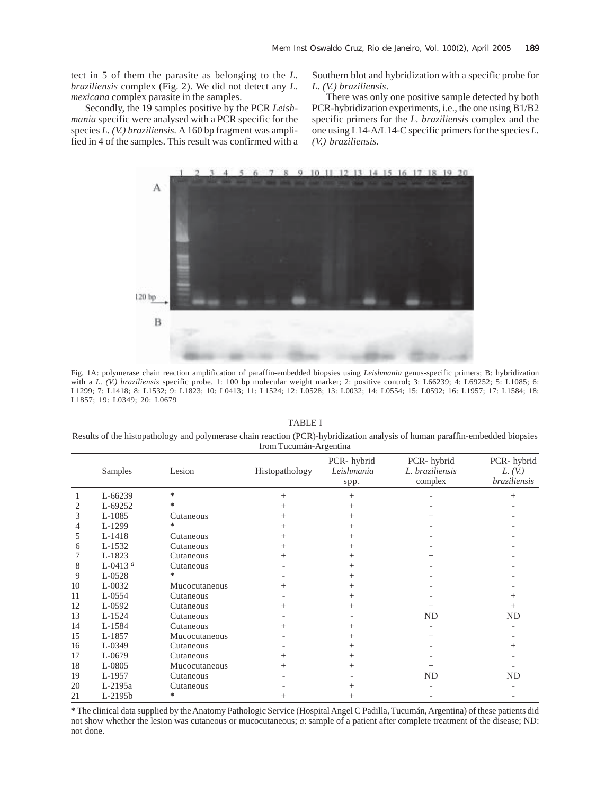tect in 5 of them the parasite as belonging to the *L. braziliensis* complex (Fig. 2). We did not detect any *L. mexicana* complex parasite in the samples.

Secondly, the 19 samples positive by the PCR *Leishmania* specific were analysed with a PCR specific for the species *L. (V.) braziliensis.* A 160 bp fragment was amplified in 4 of the samples. This result was confirmed with a Southern blot and hybridization with a specific probe for *L. (V.) braziliensis*.

There was only one positive sample detected by both PCR-hybridization experiments, i.e., the one using B1/B2 specific primers for the *L. braziliensis* complex and the one using L14-A/L14-C specific primers for the species *L. (V.) braziliensis*.



Fig. 1A: polymerase chain reaction amplification of paraffin-embedded biopsies using *Leishmania* genus-specific primers; B: hybridization with a *L.* (V.) braziliensis specific probe. 1: 100 bp molecular weight marker; 2: positive control; 3: L66239; 4: L69252; 5: L1085; 6: L1299; 7: L1418; 8: L1532; 9: L1823; 10: L0413; 11: L1524; 12: L0528; 13: L0032; 14: L0554; 15: L0592; 16: L1957; 17: L1584; 18: L1857; 19: L0349; 20: L0679

TABLE I

Results of the histopathology and polymerase chain reaction (PCR)-hybridization analysis of human paraffin-embedded biopsies from Tucumán-Argentina

|    | <b>Samples</b> | Lesion        | Histopathology | PCR-hybrid<br>Leishmania<br>spp. | PCR-hybrid<br>L. braziliensis<br>complex | PCR-hybrid<br>$L_{\rm t}(V_{\rm t})$<br>braziliensis |
|----|----------------|---------------|----------------|----------------------------------|------------------------------------------|------------------------------------------------------|
|    | L-66239        | ∗             | $^{+}$         | $^{+}$                           |                                          |                                                      |
|    | L-69252        | ∗             |                |                                  |                                          |                                                      |
| 3  | $L-1085$       | Cutaneous     |                |                                  |                                          |                                                      |
| 4  | L-1299         | ∗             |                |                                  |                                          |                                                      |
| 5  | L-1418         | Cutaneous     |                |                                  |                                          |                                                      |
| 6  | L-1532         | Cutaneous     | $\, + \,$      |                                  |                                          |                                                      |
|    | L-1823         | Cutaneous     |                |                                  |                                          |                                                      |
| 8  | L-0413 $a$     | Cutaneous     |                |                                  |                                          |                                                      |
| 9  | L-0528         | *             |                |                                  |                                          |                                                      |
| 10 | $L-0032$       | Mucocutaneous | $^{+}$         |                                  |                                          |                                                      |
| 11 | $L - 0554$     | Cutaneous     |                |                                  |                                          |                                                      |
| 12 | L-0592         | Cutaneous     | $\, + \,$      |                                  |                                          |                                                      |
| 13 | $L-1524$       | Cutaneous     |                |                                  | <b>ND</b>                                | ND                                                   |
| 14 | L-1584         | Cutaneous     | $^{+}$         |                                  |                                          |                                                      |
| 15 | L-1857         | Mucocutaneous |                |                                  | $^+$                                     |                                                      |
| 16 | L-0349         | Cutaneous     |                | +                                |                                          |                                                      |
| 17 | L-0679         | Cutaneous     | $\, + \,$      |                                  |                                          |                                                      |
| 18 | L-0805         | Mucocutaneous | $\pm$          | +                                |                                          |                                                      |
| 19 | L-1957         | Cutaneous     |                |                                  | ND                                       | ND                                                   |
| 20 | L-2195a        | Cutaneous     |                |                                  |                                          |                                                      |
| 21 | $L-2195b$      | *             | $^+$           |                                  |                                          |                                                      |

**\*** The clinical data supplied by the Anatomy Pathologic Service (Hospital Angel C Padilla, Tucumán, Argentina) of these patients did not show whether the lesion was cutaneous or mucocutaneous; *a*: sample of a patient after complete treatment of the disease; ND: not done.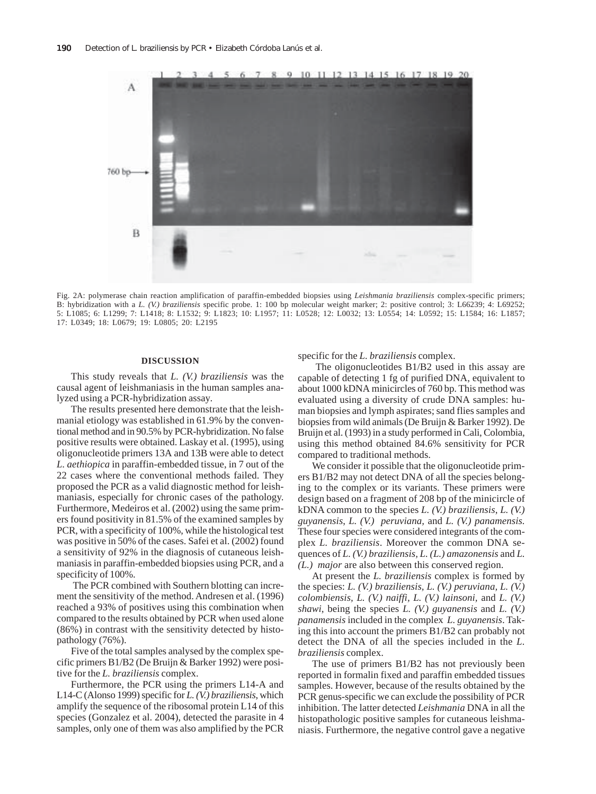

Fig. 2A: polymerase chain reaction amplification of paraffin-embedded biopsies using *Leishmania braziliensis* complex-specific primers; B: hybridization with a *L. (V.) braziliensis* specific probe. 1: 100 bp molecular weight marker; 2: positive control; 3: L66239; 4: L69252; 5: L1085; 6: L1299; 7: L1418; 8: L1532; 9: L1823; 10: L1957; 11: L0528; 12: L0032; 13: L0554; 14: L0592; 15: L1584; 16: L1857; 17: L0349; 18: L0679; 19: L0805; 20: L2195

## **DISCUSSION**

This study reveals that *L. (V.) braziliensis* was the causal agent of leishmaniasis in the human samples analyzed using a PCR-hybridization assay*.*

The results presented here demonstrate that the leishmanial etiology was established in 61.9% by the conventional method and in 90.5% by PCR-hybridization. No false positive results were obtained. Laskay et al. (1995), using oligonucleotide primers 13A and 13B were able to detect *L. aethiopica* in paraffin-embedded tissue, in 7 out of the 22 cases where the conventional methods failed. They proposed the PCR as a valid diagnostic method for leishmaniasis, especially for chronic cases of the pathology. Furthermore, Medeiros et al. (2002) using the same primers found positivity in 81.5% of the examined samples by PCR, with a specificity of 100%, while the histological test was positive in 50% of the cases. Safei et al. (2002) found a sensitivity of 92% in the diagnosis of cutaneous leishmaniasis in paraffin-embedded biopsies using PCR, and a specificity of 100%.

 The PCR combined with Southern blotting can increment the sensitivity of the method. Andresen et al. (1996) reached a 93% of positives using this combination when compared to the results obtained by PCR when used alone (86%) in contrast with the sensitivity detected by histopathology (76%).

Five of the total samples analysed by the complex specific primers B1/B2 (De Bruijn & Barker 1992) were positive for the *L. braziliensis* complex.

Furthermore, the PCR using the primers L14-A and L14-C (Alonso 1999) specific for *L. (V.) braziliensis*, which amplify the sequence of the ribosomal protein L14 of this species (Gonzalez et al. 2004), detected the parasite in 4 samples, only one of them was also amplified by the PCR specific for the *L. braziliensis* complex.

 The oligonucleotides B1/B2 used in this assay are capable of detecting 1 fg of purified DNA, equivalent to about 1000 kDNA minicircles of 760 bp. This method was evaluated using a diversity of crude DNA samples: human biopsies and lymph aspirates; sand flies samples and biopsies from wild animals (De Bruijn & Barker 1992). De Bruijn et al. (1993) in a study performed in Cali, Colombia, using this method obtained 84.6% sensitivity for PCR compared to traditional methods.

We consider it possible that the oligonucleotide primers B1/B2 may not detect DNA of all the species belonging to the complex or its variants. These primers were design based on a fragment of 208 bp of the minicircle of kDNA common to the species *L. (V.) braziliensis*, *L. (V.) guyanensis*, *L. (V.) peruviana,* and *L. (V.) panamensis.* These four species were considered integrants of the complex *L. braziliensis*. Moreover the common DNA sequences of *L. (V.) braziliensis, L. (L.) amazonensis* and *L. (L.) major* are also between this conserved region.

At present the *L. braziliensis* complex is formed by the species: *L. (V.) braziliensis, L. (V.) peruviana, L. (V.) colombiensis, L. (V.) naiffi, L. (V.) lainsoni,* and *L. (V.) shawi*, being the species *L. (V.) guyanensis* and *L. (V.) panamensis* included in the complex *L. guyanensis*. Taking this into account the primers B1/B2 can probably not detect the DNA of all the species included in the *L. braziliensis* complex.

The use of primers B1/B2 has not previously been reported in formalin fixed and paraffin embedded tissues samples. However, because of the results obtained by the PCR genus-specific we can exclude the possibility of PCR inhibition. The latter detected *Leishmania* DNA in all the histopathologic positive samples for cutaneous leishmaniasis. Furthermore, the negative control gave a negative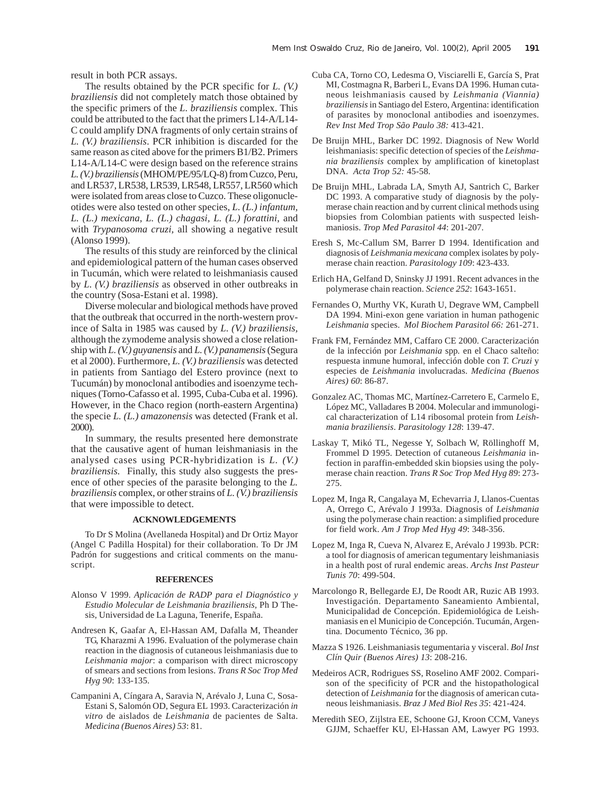result in both PCR assays.

The results obtained by the PCR specific for *L. (V.) braziliensis* did not completely match those obtained by the specific primers of the *L. braziliensis* complex. This could be attributed to the fact that the primers L14-A/L14- C could amplify DNA fragments of only certain strains of *L. (V.) braziliensis*. PCR inhibition is discarded for the same reason as cited above for the primers B1/B2. Primers L14-A/L14-C were design based on the reference strains *L. (V.) braziliensis* (MHOM/PE/95/LQ-8) from Cuzco, Peru, and LR537, LR538, LR539, LR548, LR557, LR560 which were isolated from areas close to Cuzco. These oligonucleotides were also tested on other species, *L. (L.) infantum, L. (L.) mexicana, L. (L.) chagasi, L. (L.) forattini*, and with *Trypanosoma cruzi,* all showing a negative result (Alonso 1999).

The results of this study are reinforced by the clinical and epidemiological pattern of the human cases observed in Tucumán, which were related to leishmaniasis caused by *L. (V.) braziliensis* as observed in other outbreaks in the country (Sosa-Estani et al. 1998).

Diverse molecular and biological methods have proved that the outbreak that occurred in the north-western province of Salta in 1985 was caused by *L. (V.) braziliensis,* although the zymodeme analysis showed a close relationship with *L. (V.) guyanensis* and *L. (V.) panamensis* (Segura et al 2000). Furthermore, *L. (V.) braziliensis* was detected in patients from Santiago del Estero province (next to Tucumán) by monoclonal antibodies and isoenzyme techniques (Torno-Cafasso et al. 1995, Cuba-Cuba et al. 1996). However, in the Chaco region (north-eastern Argentina) the specie *L. (L.) amazonensis* was detected (Frank et al. 2000).

In summary, the results presented here demonstrate that the causative agent of human leishmaniasis in the analysed cases using PCR-hybridization is *L. (V.) braziliensis.* Finally, this study also suggests the presence of other species of the parasite belonging to the *L. braziliensis* complex, or other strains of *L. (V.) braziliensis* that were impossible to detect.

# **ACKNOWLEDGEMENTS**

To Dr S Molina (Avellaneda Hospital) and Dr Ortiz Mayor (Angel C Padilla Hospital) for their collaboration. To Dr JM Padrón for suggestions and critical comments on the manuscript.

#### **REFERENCES**

- Alonso V 1999. *Aplicación de RADP para el Diagnóstico y Estudio Molecular de Leishmania braziliensis,* Ph D Thesis, Universidad de La Laguna, Tenerife, España.
- Andresen K, Gaafar A, El-Hassan AM, Dafalla M, Theander TG, Kharazmi A 1996. Evaluation of the polymerase chain reaction in the diagnosis of cutaneous leishmaniasis due to *Leishmania major*: a comparison with direct microscopy of smears and sections from lesions. *Trans R Soc Trop Med Hyg 90*: 133-135.
- Campanini A, Cíngara A, Saravia N, Arévalo J, Luna C, Sosa-Estani S, Salomón OD, Segura EL 1993. Caracterización *in vitro* de aislados de *Leishmania* de pacientes de Salta. *Medicina (Buenos Aires) 53*: 81.
- Cuba CA, Torno CO, Ledesma O, Visciarelli E, García S, Prat MI, Costmagna R, Barberi L, Evans DA 1996. Human cutaneous leishmaniasis caused by *Leishmania (Viannia) braziliensis* in Santiago del Estero, Argentina: identification of parasites by monoclonal antibodies and isoenzymes. *Rev Inst Med Trop São Paulo 38:* 413-421.
- De Bruijn MHL, Barker DC 1992. Diagnosis of New World leishmaniasis: specific detection of species of the *Leishmania braziliensis* complex by amplification of kinetoplast DNA. *Acta Trop 52:* 45-58.
- De Bruijn MHL, Labrada LA, Smyth AJ, Santrich C, Barker DC 1993. A comparative study of diagnosis by the polymerase chain reaction and by current clinical methods using biopsies from Colombian patients with suspected leishmaniosis. *Trop Med Parasitol 44*: 201-207.
- Eresh S, Mc-Callum SM, Barrer D 1994. Identification and diagnosis of *Leishmania mexicana* complex isolates by polymerase chain reaction. *Parasitology 109*: 423-433.
- Erlich HA, Gelfand D, Sninsky JJ 1991. Recent advances in the polymerase chain reaction. *Science 252*: 1643-1651.
- Fernandes O, Murthy VK, Kurath U, Degrave WM, Campbell DA 1994. Mini-exon gene variation in human pathogenic *Leishmania* species. *Mol Biochem Parasitol 66:* 261-271.
- Frank FM, Fernández MM, Caffaro CE 2000. Caracterización de la infección por *Leishmania* spp*.* en el Chaco salteño: respuesta inmune humoral, infección doble con *T. Cruzi* y especies de *Leishmania* involucradas. *Medicina (Buenos Aires) 60*: 86-87.
- Gonzalez AC, Thomas MC, Martínez-Carretero E, Carmelo E, López MC, Valladares B 2004. Molecular and immunological characterization of L14 ribosomal protein from *Leishmania braziliensis*. *Parasitology 128*: 139-47.
- Laskay T, Mikó TL, Negesse Y, Solbach W, Röllinghoff M, Frommel D 1995. Detection of cutaneous *Leishmania* infection in paraffin-embedded skin biopsies using the polymerase chain reaction. *Trans R Soc Trop Med Hyg 89*: 273- 275.
- Lopez M, Inga R, Cangalaya M, Echevarria J, Llanos-Cuentas A, Orrego C, Arévalo J 1993a. Diagnosis of *Leishmania* using the polymerase chain reaction: a simplified procedure for field work. *Am J Trop Med Hyg 49*: 348-356.
- Lopez M, Inga R, Cueva N, Alvarez E, Arévalo J 1993b. PCR: a tool for diagnosis of american tegumentary leishmaniasis in a health post of rural endemic areas. *Archs Inst Pasteur Tunis 70*: 499-504.
- Marcolongo R, Bellegarde EJ, De Roodt AR, Ruzic AB 1993. Investigación. Departamento Saneamiento Ambiental, Municipalidad de Concepción. Epidemiológica de Leishmaniasis en el Municipio de Concepción. Tucumán, Argentina. Documento Técnico, 36 pp.
- Mazza S 1926. Leishmaniasis tegumentaria y visceral. *Bol Inst Clín Quir (Buenos Aires) 13*: 208-216.
- Medeiros ACR, Rodrigues SS, Roselino AMF 2002. Comparison of the specificity of PCR and the histopathological detection of *Leishmania* for the diagnosis of american cutaneous leishmaniasis. *Braz J Med Biol Res 35*: 421-424.
- Meredith SEO, Zijlstra EE, Schoone GJ, Kroon CCM, Vaneys GJJM, Schaeffer KU, El-Hassan AM, Lawyer PG 1993.